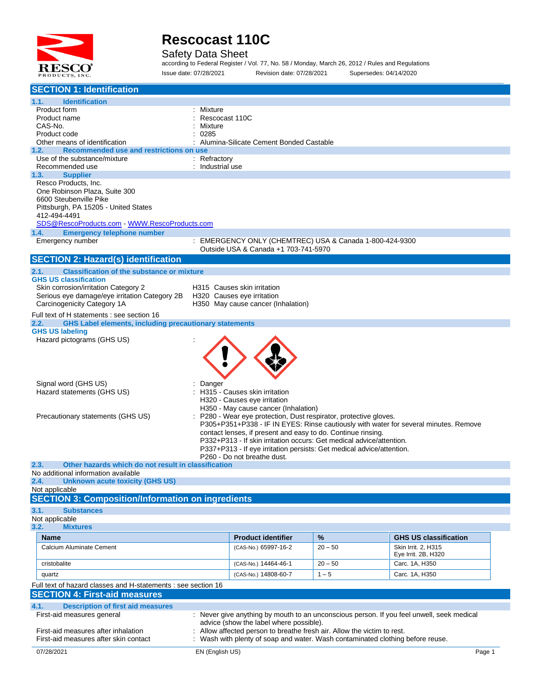

Safety Data Sheet

according to Federal Register / Vol. 77, No. 58 / Monday, March 26, 2012 / Rules and Regulations Issue date: 07/28/2021 Revision date: 07/28/2021 Supersedes: 04/14/2020

| <b>SECTION 1: Identification</b>                                                                                    |                  |                                         |                                                                              |                                                                                           |
|---------------------------------------------------------------------------------------------------------------------|------------------|-----------------------------------------|------------------------------------------------------------------------------|-------------------------------------------------------------------------------------------|
| 1.1.<br><b>Identification</b>                                                                                       |                  |                                         |                                                                              |                                                                                           |
| Product form                                                                                                        | : Mixture        |                                         |                                                                              |                                                                                           |
| Product name                                                                                                        | Rescocast 110C   |                                         |                                                                              |                                                                                           |
| CAS-No.                                                                                                             | Mixture          |                                         |                                                                              |                                                                                           |
| Product code<br>Other means of identification                                                                       | 0285             | Alumina-Silicate Cement Bonded Castable |                                                                              |                                                                                           |
| Recommended use and restrictions on use<br>1.2.                                                                     |                  |                                         |                                                                              |                                                                                           |
| Use of the substance/mixture                                                                                        | : Refractory     |                                         |                                                                              |                                                                                           |
| Recommended use                                                                                                     | : Industrial use |                                         |                                                                              |                                                                                           |
| 1.3.<br><b>Supplier</b><br>Resco Products, Inc.                                                                     |                  |                                         |                                                                              |                                                                                           |
| One Robinson Plaza, Suite 300                                                                                       |                  |                                         |                                                                              |                                                                                           |
| 6600 Steubenville Pike                                                                                              |                  |                                         |                                                                              |                                                                                           |
| Pittsburgh, PA 15205 - United States                                                                                |                  |                                         |                                                                              |                                                                                           |
| 412-494-4491                                                                                                        |                  |                                         |                                                                              |                                                                                           |
| SDS@RescoProducts.com WWW.RescoProducts.com                                                                         |                  |                                         |                                                                              |                                                                                           |
| <b>Emergency telephone number</b><br>1.4.                                                                           |                  |                                         |                                                                              |                                                                                           |
| Emergency number                                                                                                    |                  | Outside USA & Canada +1 703-741-5970    | : EMERGENCY ONLY (CHEMTREC) USA & Canada 1-800-424-9300                      |                                                                                           |
| <b>SECTION 2: Hazard(s) identification</b>                                                                          |                  |                                         |                                                                              |                                                                                           |
| <b>Classification of the substance or mixture</b><br>2.1.                                                           |                  |                                         |                                                                              |                                                                                           |
| <b>GHS US classification</b>                                                                                        |                  |                                         |                                                                              |                                                                                           |
| Skin corrosion/irritation Category 2                                                                                |                  | H315 Causes skin irritation             |                                                                              |                                                                                           |
| Serious eye damage/eye irritation Category 2B                                                                       |                  | H320 Causes eye irritation              |                                                                              |                                                                                           |
| Carcinogenicity Category 1A                                                                                         |                  | H350 May cause cancer (Inhalation)      |                                                                              |                                                                                           |
| Full text of H statements : see section 16<br><b>GHS Label elements, including precautionary statements</b><br>2.2. |                  |                                         |                                                                              |                                                                                           |
| <b>GHS US labeling</b>                                                                                              |                  |                                         |                                                                              |                                                                                           |
| Hazard pictograms (GHS US)                                                                                          |                  |                                         |                                                                              |                                                                                           |
|                                                                                                                     |                  |                                         |                                                                              |                                                                                           |
|                                                                                                                     |                  |                                         |                                                                              |                                                                                           |
|                                                                                                                     |                  |                                         |                                                                              |                                                                                           |
|                                                                                                                     |                  |                                         |                                                                              |                                                                                           |
| Signal word (GHS US)                                                                                                | Danger           |                                         |                                                                              |                                                                                           |
| Hazard statements (GHS US)                                                                                          |                  | H315 - Causes skin irritation           |                                                                              |                                                                                           |
|                                                                                                                     |                  | H320 - Causes eye irritation            |                                                                              |                                                                                           |
|                                                                                                                     |                  | H350 - May cause cancer (Inhalation)    |                                                                              |                                                                                           |
| Precautionary statements (GHS US)                                                                                   |                  |                                         | P280 - Wear eye protection, Dust respirator, protective gloves.              | P305+P351+P338 - IF IN EYES: Rinse cautiously with water for several minutes. Remove      |
|                                                                                                                     |                  |                                         | contact lenses, if present and easy to do. Continue rinsing.                 |                                                                                           |
|                                                                                                                     |                  |                                         | P332+P313 - If skin irritation occurs: Get medical advice/attention.         |                                                                                           |
|                                                                                                                     |                  |                                         | P337+P313 - If eye irritation persists: Get medical advice/attention.        |                                                                                           |
|                                                                                                                     |                  | P260 - Do not breathe dust.             |                                                                              |                                                                                           |
| Other hazards which do not result in classification<br>2.3.<br>No additional information available                  |                  |                                         |                                                                              |                                                                                           |
| <b>Unknown acute toxicity (GHS US)</b><br>2.4.                                                                      |                  |                                         |                                                                              |                                                                                           |
| Not applicable                                                                                                      |                  |                                         |                                                                              |                                                                                           |
| <b>SECTION 3: Composition/Information on ingredients</b>                                                            |                  |                                         |                                                                              |                                                                                           |
| 3.1.<br><b>Substances</b>                                                                                           |                  |                                         |                                                                              |                                                                                           |
| Not applicable                                                                                                      |                  |                                         |                                                                              |                                                                                           |
| 3.2.<br><b>Mixtures</b>                                                                                             |                  |                                         |                                                                              |                                                                                           |
| Name                                                                                                                |                  | <b>Product identifier</b>               | %                                                                            | <b>GHS US classification</b>                                                              |
| Calcium Aluminate Cement                                                                                            |                  | (CAS-No.) 65997-16-2                    | $20 - 50$                                                                    | Skin Irrit. 2, H315                                                                       |
|                                                                                                                     |                  |                                         |                                                                              | Eye Irrit. 2B, H320                                                                       |
| cristobalite                                                                                                        |                  | (CAS-No.) 14464-46-1                    | $20 - 50$                                                                    | Carc. 1A, H350                                                                            |
| quartz                                                                                                              |                  | (CAS-No.) 14808-60-7                    | $1 - 5$                                                                      | Carc. 1A, H350                                                                            |
| Full text of hazard classes and H-statements : see section 16                                                       |                  |                                         |                                                                              |                                                                                           |
| <b>SECTION 4: First-aid measures</b>                                                                                |                  |                                         |                                                                              |                                                                                           |
| 4.1.<br><b>Description of first aid measures</b>                                                                    |                  |                                         |                                                                              |                                                                                           |
| First-aid measures general                                                                                          |                  | advice (show the label where possible). |                                                                              | : Never give anything by mouth to an unconscious person. If you feel unwell, seek medical |
| First-aid measures after inhalation                                                                                 |                  |                                         | Allow affected person to breathe fresh air. Allow the victim to rest.        |                                                                                           |
| First-aid measures after skin contact                                                                               |                  |                                         | Wash with plenty of soap and water. Wash contaminated clothing before reuse. |                                                                                           |
| 07/28/2021                                                                                                          | EN (English US)  |                                         |                                                                              | Page 1                                                                                    |
|                                                                                                                     |                  |                                         |                                                                              |                                                                                           |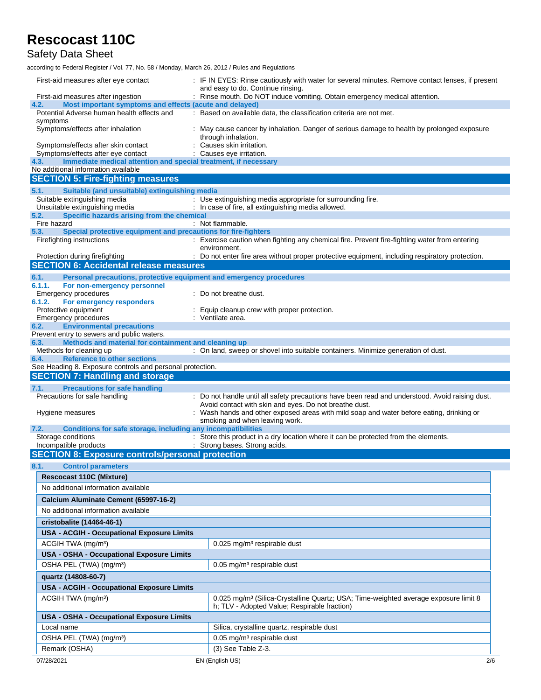Safety Data Sheet

according to Federal Register / Vol. 77, No. 58 / Monday, March 26, 2012 / Rules and Regulations

| First-aid measures after eye contact                                                                       | : IF IN EYES: Rinse cautiously with water for several minutes. Remove contact lenses, if present                |  |  |  |  |  |
|------------------------------------------------------------------------------------------------------------|-----------------------------------------------------------------------------------------------------------------|--|--|--|--|--|
| First-aid measures after ingestion                                                                         | and easy to do. Continue rinsing.<br>: Rinse mouth. Do NOT induce vomiting. Obtain emergency medical attention. |  |  |  |  |  |
| Most important symptoms and effects (acute and delayed)<br>4.2.                                            |                                                                                                                 |  |  |  |  |  |
| Potential Adverse human health effects and<br>symptoms                                                     | : Based on available data, the classification criteria are not met.                                             |  |  |  |  |  |
| Symptoms/effects after inhalation                                                                          | : May cause cancer by inhalation. Danger of serious damage to health by prolonged exposure                      |  |  |  |  |  |
| Symptoms/effects after skin contact                                                                        | through inhalation.<br>Causes skin irritation.                                                                  |  |  |  |  |  |
| Symptoms/effects after eye contact                                                                         | : Causes eye irritation.                                                                                        |  |  |  |  |  |
| Immediate medical attention and special treatment, if necessary<br>4.3.                                    |                                                                                                                 |  |  |  |  |  |
| No additional information available<br><b>SECTION 5: Fire-fighting measures</b>                            |                                                                                                                 |  |  |  |  |  |
|                                                                                                            |                                                                                                                 |  |  |  |  |  |
| 5.1.<br>Suitable (and unsuitable) extinguishing media<br>Suitable extinguishing media                      | : Use extinguishing media appropriate for surrounding fire.                                                     |  |  |  |  |  |
| Unsuitable extinguishing media                                                                             | : In case of fire, all extinguishing media allowed.                                                             |  |  |  |  |  |
| Specific hazards arising from the chemical<br>5.2.                                                         |                                                                                                                 |  |  |  |  |  |
| Fire hazard                                                                                                | : Not flammable.                                                                                                |  |  |  |  |  |
| Special protective equipment and precautions for fire-fighters<br>5.3.<br>Firefighting instructions        | : Exercise caution when fighting any chemical fire. Prevent fire-fighting water from entering                   |  |  |  |  |  |
|                                                                                                            | environment.                                                                                                    |  |  |  |  |  |
| Protection during firefighting                                                                             | : Do not enter fire area without proper protective equipment, including respiratory protection.                 |  |  |  |  |  |
| <b>SECTION 6: Accidental release measures</b>                                                              |                                                                                                                 |  |  |  |  |  |
| 6.1.<br>Personal precautions, protective equipment and emergency procedures                                |                                                                                                                 |  |  |  |  |  |
| 6.1.1.<br>For non-emergency personnel                                                                      |                                                                                                                 |  |  |  |  |  |
| <b>Emergency procedures</b><br>6.1.2.<br>For emergency responders                                          | : Do not breathe dust.                                                                                          |  |  |  |  |  |
| Protective equipment                                                                                       | Equip cleanup crew with proper protection.                                                                      |  |  |  |  |  |
| Emergency procedures                                                                                       | : Ventilate area.                                                                                               |  |  |  |  |  |
| <b>Environmental precautions</b><br>6.2.                                                                   |                                                                                                                 |  |  |  |  |  |
| Prevent entry to sewers and public waters.<br>6.3.<br>Methods and material for containment and cleaning up |                                                                                                                 |  |  |  |  |  |
| Methods for cleaning up                                                                                    | : On land, sweep or shovel into suitable containers. Minimize generation of dust.                               |  |  |  |  |  |
| <b>Reference to other sections</b><br>6.4.                                                                 |                                                                                                                 |  |  |  |  |  |
| See Heading 8. Exposure controls and personal protection.                                                  |                                                                                                                 |  |  |  |  |  |
| <b>SECTION 7: Handling and storage</b>                                                                     |                                                                                                                 |  |  |  |  |  |
| <b>Precautions for safe handling</b><br>7.1.<br>Precautions for safe handling                              | : Do not handle until all safety precautions have been read and understood. Avoid raising dust.                 |  |  |  |  |  |
|                                                                                                            | Avoid contact with skin and eyes. Do not breathe dust.                                                          |  |  |  |  |  |
| Hygiene measures                                                                                           | : Wash hands and other exposed areas with mild soap and water before eating, drinking or                        |  |  |  |  |  |
|                                                                                                            | smoking and when leaving work.                                                                                  |  |  |  |  |  |
| Conditions for safe storage, including any incompatibilities<br>7.2.<br>Storage conditions                 | : Store this product in a dry location where it can be protected from the elements.                             |  |  |  |  |  |
| Incompatible products                                                                                      | : Strong bases. Strong acids.                                                                                   |  |  |  |  |  |
| <b>SECTION 8: Exposure controls/personal protection</b>                                                    |                                                                                                                 |  |  |  |  |  |
| 8.1.<br><b>Control parameters</b>                                                                          |                                                                                                                 |  |  |  |  |  |
| <b>Rescocast 110C (Mixture)</b>                                                                            |                                                                                                                 |  |  |  |  |  |
| No additional information available                                                                        |                                                                                                                 |  |  |  |  |  |
| Calcium Aluminate Cement (65997-16-2)                                                                      |                                                                                                                 |  |  |  |  |  |
| No additional information available                                                                        |                                                                                                                 |  |  |  |  |  |
|                                                                                                            |                                                                                                                 |  |  |  |  |  |
| cristobalite (14464-46-1)                                                                                  |                                                                                                                 |  |  |  |  |  |
| <b>USA - ACGIH - Occupational Exposure Limits</b>                                                          |                                                                                                                 |  |  |  |  |  |
| ACGIH TWA (mg/m <sup>3</sup> )                                                                             | 0.025 mg/m <sup>3</sup> respirable dust                                                                         |  |  |  |  |  |
| <b>USA - OSHA - Occupational Exposure Limits</b>                                                           |                                                                                                                 |  |  |  |  |  |
| OSHA PEL (TWA) (mg/m <sup>3</sup> )                                                                        | 0.05 mg/m <sup>3</sup> respirable dust                                                                          |  |  |  |  |  |
| quartz (14808-60-7)                                                                                        |                                                                                                                 |  |  |  |  |  |
| <b>USA - ACGIH - Occupational Exposure Limits</b>                                                          |                                                                                                                 |  |  |  |  |  |
| ACGIH TWA (mg/m <sup>3</sup> )                                                                             | 0.025 mg/m <sup>3</sup> (Silica-Crystalline Quartz; USA; Time-weighted average exposure limit 8                 |  |  |  |  |  |
|                                                                                                            | h; TLV - Adopted Value; Respirable fraction)                                                                    |  |  |  |  |  |
| <b>USA - OSHA - Occupational Exposure Limits</b>                                                           |                                                                                                                 |  |  |  |  |  |
| Local name                                                                                                 | Silica, crystalline quartz, respirable dust                                                                     |  |  |  |  |  |
| OSHA PEL (TWA) (mg/m <sup>3</sup> )                                                                        |                                                                                                                 |  |  |  |  |  |
|                                                                                                            | 0.05 mg/m <sup>3</sup> respirable dust                                                                          |  |  |  |  |  |
| Remark (OSHA)                                                                                              | $(3)$ See Table Z-3.<br>EN (English US)                                                                         |  |  |  |  |  |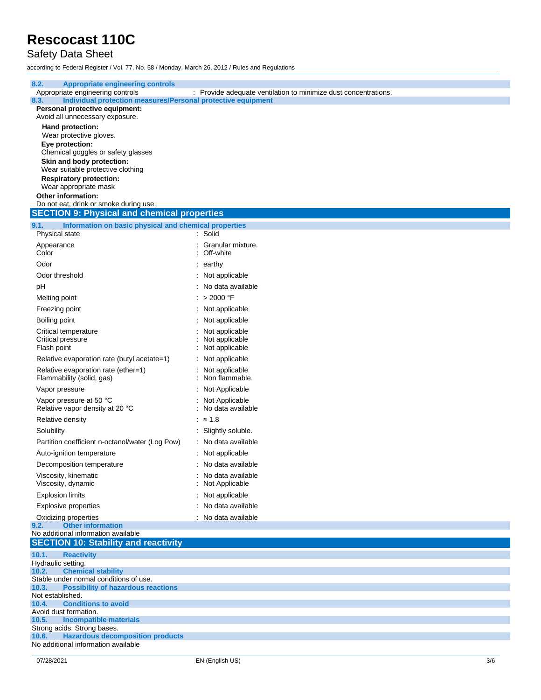Safety Data Sheet

according to Federal Register / Vol. 77, No. 58 / Monday, March 26, 2012 / Rules and Regulations

| 8.2.<br><b>Appropriate engineering controls</b>                         |                                                                 |     |
|-------------------------------------------------------------------------|-----------------------------------------------------------------|-----|
| Appropriate engineering controls                                        | : Provide adequate ventilation to minimize dust concentrations. |     |
| Individual protection measures/Personal protective equipment<br>8.3.    |                                                                 |     |
| Personal protective equipment:                                          |                                                                 |     |
| Avoid all unnecessary exposure.                                         |                                                                 |     |
| Hand protection:                                                        |                                                                 |     |
| Wear protective gloves.<br>Eye protection:                              |                                                                 |     |
| Chemical goggles or safety glasses                                      |                                                                 |     |
| Skin and body protection:                                               |                                                                 |     |
| Wear suitable protective clothing                                       |                                                                 |     |
| <b>Respiratory protection:</b>                                          |                                                                 |     |
| Wear appropriate mask                                                   |                                                                 |     |
| Other information:                                                      |                                                                 |     |
| Do not eat, drink or smoke during use.                                  |                                                                 |     |
| <b>SECTION 9: Physical and chemical properties</b>                      |                                                                 |     |
| 9.1.<br>Information on basic physical and chemical properties           |                                                                 |     |
| Physical state                                                          | : Solid                                                         |     |
| Appearance                                                              | Granular mixture.                                               |     |
| Color                                                                   | Off-white                                                       |     |
| Odor                                                                    | earthy                                                          |     |
| Odor threshold                                                          | Not applicable                                                  |     |
| рH                                                                      | No data available                                               |     |
|                                                                         | : $>2000$ °F                                                    |     |
| Melting point                                                           |                                                                 |     |
| Freezing point                                                          | : Not applicable                                                |     |
| Boiling point                                                           | : Not applicable                                                |     |
| Critical temperature                                                    | Not applicable                                                  |     |
| Critical pressure                                                       | Not applicable                                                  |     |
| Flash point                                                             | Not applicable                                                  |     |
| Relative evaporation rate (butyl acetate=1)                             | Not applicable                                                  |     |
| Relative evaporation rate (ether=1)                                     | Not applicable                                                  |     |
| Flammability (solid, gas)                                               | Non flammable.                                                  |     |
| Vapor pressure                                                          | Not Applicable                                                  |     |
| Vapor pressure at 50 °C                                                 | Not Applicable                                                  |     |
| Relative vapor density at 20 °C                                         | No data available                                               |     |
| Relative density                                                        | : ≈ 1.8                                                         |     |
| Solubility                                                              | Slightly soluble.                                               |     |
| Partition coefficient n-octanol/water (Log Pow)                         | : No data available                                             |     |
| Auto-ignition temperature                                               | Not applicable                                                  |     |
| Decomposition temperature                                               | : No data available                                             |     |
|                                                                         |                                                                 |     |
| Viscosity, kinematic<br>Viscosity, dynamic                              | No data available<br>Not Applicable                             |     |
| <b>Explosion limits</b>                                                 | Not applicable                                                  |     |
|                                                                         |                                                                 |     |
| <b>Explosive properties</b>                                             | : No data available                                             |     |
| Oxidizing properties                                                    | : No data available                                             |     |
| <b>Other information</b><br>9.2.<br>No additional information available |                                                                 |     |
| <b>SECTION 10: Stability and reactivity</b>                             |                                                                 |     |
|                                                                         |                                                                 |     |
| 10.1.<br><b>Reactivity</b><br>Hydraulic setting.                        |                                                                 |     |
| <b>Chemical stability</b><br>10.2.                                      |                                                                 |     |
| Stable under normal conditions of use.                                  |                                                                 |     |
| 10.3.<br><b>Possibility of hazardous reactions</b>                      |                                                                 |     |
| Not established.                                                        |                                                                 |     |
| 10.4.<br><b>Conditions to avoid</b><br>Avoid dust formation.            |                                                                 |     |
| <b>Incompatible materials</b><br>10.5.                                  |                                                                 |     |
| Strong acids. Strong bases.                                             |                                                                 |     |
| 10.6.<br><b>Hazardous decomposition products</b>                        |                                                                 |     |
| No additional information available                                     |                                                                 |     |
| 07/28/2021                                                              | EN (English US)                                                 | 3/6 |
|                                                                         |                                                                 |     |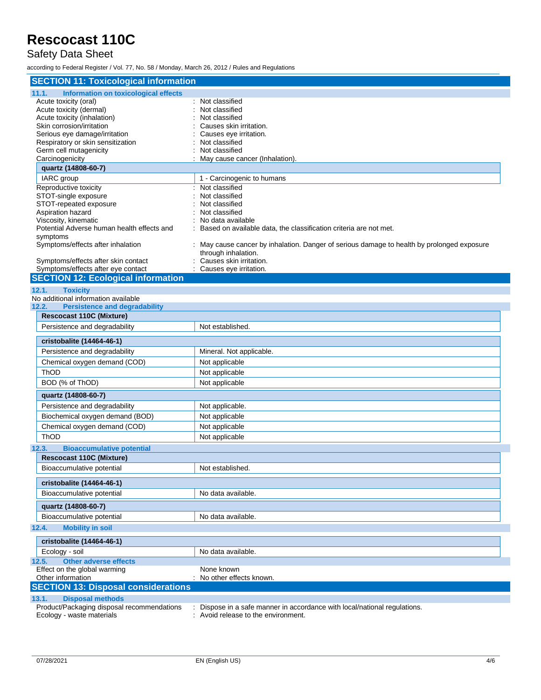#### Safety Data Sheet

according to Federal Register / Vol. 77, No. 58 / Monday, March 26, 2012 / Rules and Regulations

| <b>SECTION 11: Toxicological information</b>         |                                                                                                                   |  |  |  |  |
|------------------------------------------------------|-------------------------------------------------------------------------------------------------------------------|--|--|--|--|
| <b>Information on toxicological effects</b><br>11.1. |                                                                                                                   |  |  |  |  |
| Acute toxicity (oral)                                | : Not classified                                                                                                  |  |  |  |  |
| Acute toxicity (dermal)                              | Not classified                                                                                                    |  |  |  |  |
| Acute toxicity (inhalation)                          | Not classified                                                                                                    |  |  |  |  |
| Skin corrosion/irritation                            | Causes skin irritation.                                                                                           |  |  |  |  |
| Serious eye damage/irritation                        | Causes eye irritation.                                                                                            |  |  |  |  |
| Respiratory or skin sensitization                    | Not classified                                                                                                    |  |  |  |  |
| Germ cell mutagenicity                               | Not classified                                                                                                    |  |  |  |  |
| Carcinogenicity                                      | May cause cancer (Inhalation).                                                                                    |  |  |  |  |
| quartz (14808-60-7)                                  |                                                                                                                   |  |  |  |  |
| IARC group                                           | 1 - Carcinogenic to humans                                                                                        |  |  |  |  |
| Reproductive toxicity<br>STOT-single exposure        | Not classified<br>Not classified                                                                                  |  |  |  |  |
| STOT-repeated exposure                               | Not classified                                                                                                    |  |  |  |  |
| Aspiration hazard                                    | Not classified                                                                                                    |  |  |  |  |
| Viscosity, kinematic                                 | No data available                                                                                                 |  |  |  |  |
| Potential Adverse human health effects and           | Based on available data, the classification criteria are not met.                                                 |  |  |  |  |
| symptoms                                             |                                                                                                                   |  |  |  |  |
| Symptoms/effects after inhalation                    | : May cause cancer by inhalation. Danger of serious damage to health by prolonged exposure<br>through inhalation. |  |  |  |  |
| Symptoms/effects after skin contact                  | Causes skin irritation.                                                                                           |  |  |  |  |
| Symptoms/effects after eye contact                   | Causes eye irritation.                                                                                            |  |  |  |  |
| <b>SECTION 12: Ecological information</b>            |                                                                                                                   |  |  |  |  |
| <b>Toxicity</b><br>12.1.                             |                                                                                                                   |  |  |  |  |
| No additional information available                  |                                                                                                                   |  |  |  |  |
| <b>Persistence and degradability</b><br>12.2.        |                                                                                                                   |  |  |  |  |
| <b>Rescocast 110C (Mixture)</b>                      |                                                                                                                   |  |  |  |  |
| Persistence and degradability                        | Not established.                                                                                                  |  |  |  |  |
| cristobalite (14464-46-1)                            |                                                                                                                   |  |  |  |  |
| Persistence and degradability                        | Mineral. Not applicable.                                                                                          |  |  |  |  |
|                                                      |                                                                                                                   |  |  |  |  |
| Chemical oxygen demand (COD)                         | Not applicable                                                                                                    |  |  |  |  |
| ThOD                                                 | Not applicable                                                                                                    |  |  |  |  |
| BOD (% of ThOD)                                      | Not applicable                                                                                                    |  |  |  |  |
| quartz (14808-60-7)                                  |                                                                                                                   |  |  |  |  |
| Persistence and degradability                        | Not applicable.                                                                                                   |  |  |  |  |
| Biochemical oxygen demand (BOD)                      | Not applicable                                                                                                    |  |  |  |  |
| Chemical oxygen demand (COD)                         | Not applicable                                                                                                    |  |  |  |  |
| ThOD                                                 | Not applicable                                                                                                    |  |  |  |  |
| 12.3.<br><b>Bioaccumulative potential</b>            |                                                                                                                   |  |  |  |  |
| <b>Rescocast 110C (Mixture)</b>                      |                                                                                                                   |  |  |  |  |
| Bioaccumulative potential                            | Not established.                                                                                                  |  |  |  |  |
| cristobalite (14464-46-1)                            |                                                                                                                   |  |  |  |  |
| Bioaccumulative potential                            | No data available.                                                                                                |  |  |  |  |
|                                                      |                                                                                                                   |  |  |  |  |
| quartz (14808-60-7)                                  | No data available.                                                                                                |  |  |  |  |
| Bioaccumulative potential                            |                                                                                                                   |  |  |  |  |
| 12.4.<br><b>Mobility in soil</b>                     |                                                                                                                   |  |  |  |  |
| cristobalite (14464-46-1)                            |                                                                                                                   |  |  |  |  |
| Ecology - soil                                       | No data available.                                                                                                |  |  |  |  |
| <b>Other adverse effects</b><br>12.5.                |                                                                                                                   |  |  |  |  |
| Effect on the global warming                         | None known                                                                                                        |  |  |  |  |
| Other information                                    | : No other effects known.                                                                                         |  |  |  |  |
| <b>SECTION 13: Disposal considerations</b>           |                                                                                                                   |  |  |  |  |
| 13.1.<br><b>Disposal methods</b>                     |                                                                                                                   |  |  |  |  |
| Product/Packaging disposal recommendations           | : Dispose in a safe manner in accordance with local/national regulations.                                         |  |  |  |  |
| Ecology - waste materials                            | : Avoid release to the environment.                                                                               |  |  |  |  |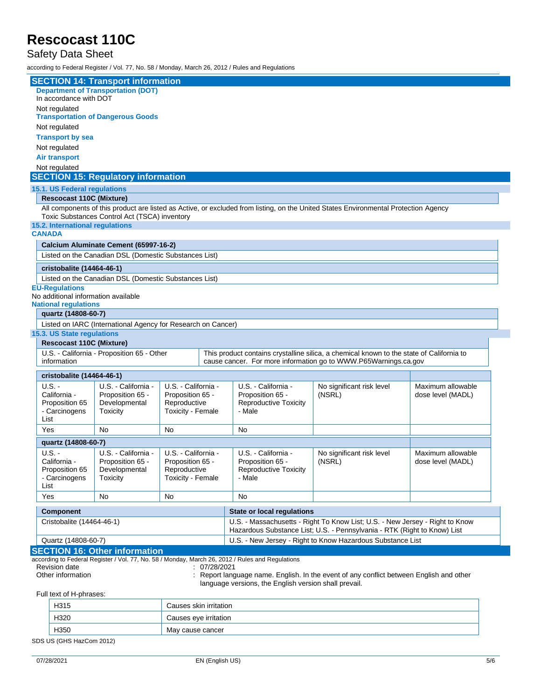#### Safety Data Sheet

according to Federal Register / Vol. 77, No. 58 / Monday, March 26, 2012 / Rules and Regulations

|                                                                                                    |                                                                                                                                                                                      | <b>SECTION 14: Transport information</b>                     |                                   |              |                                                                              |                                                                                                  |                                                                                         |                   |
|----------------------------------------------------------------------------------------------------|--------------------------------------------------------------------------------------------------------------------------------------------------------------------------------------|--------------------------------------------------------------|-----------------------------------|--------------|------------------------------------------------------------------------------|--------------------------------------------------------------------------------------------------|-----------------------------------------------------------------------------------------|-------------------|
|                                                                                                    |                                                                                                                                                                                      | <b>Department of Transportation (DOT)</b>                    |                                   |              |                                                                              |                                                                                                  |                                                                                         |                   |
|                                                                                                    | In accordance with DOT                                                                                                                                                               |                                                              |                                   |              |                                                                              |                                                                                                  |                                                                                         |                   |
|                                                                                                    | Not regulated                                                                                                                                                                        |                                                              |                                   |              |                                                                              |                                                                                                  |                                                                                         |                   |
|                                                                                                    | <b>Transportation of Dangerous Goods</b>                                                                                                                                             |                                                              |                                   |              |                                                                              |                                                                                                  |                                                                                         |                   |
|                                                                                                    | Not regulated                                                                                                                                                                        |                                                              |                                   |              |                                                                              |                                                                                                  |                                                                                         |                   |
|                                                                                                    | <b>Transport by sea</b>                                                                                                                                                              |                                                              |                                   |              |                                                                              |                                                                                                  |                                                                                         |                   |
|                                                                                                    | Not regulated                                                                                                                                                                        |                                                              |                                   |              |                                                                              |                                                                                                  |                                                                                         |                   |
|                                                                                                    | <b>Air transport</b>                                                                                                                                                                 |                                                              |                                   |              |                                                                              |                                                                                                  |                                                                                         |                   |
|                                                                                                    | Not regulated                                                                                                                                                                        |                                                              |                                   |              |                                                                              |                                                                                                  |                                                                                         |                   |
|                                                                                                    |                                                                                                                                                                                      | <b>SECTION 15: Regulatory information</b>                    |                                   |              |                                                                              |                                                                                                  |                                                                                         |                   |
|                                                                                                    | 15.1. US Federal regulations                                                                                                                                                         |                                                              |                                   |              |                                                                              |                                                                                                  |                                                                                         |                   |
|                                                                                                    | <b>Rescocast 110C (Mixture)</b>                                                                                                                                                      |                                                              |                                   |              |                                                                              |                                                                                                  |                                                                                         |                   |
|                                                                                                    | All components of this product are listed as Active, or excluded from listing, on the United States Environmental Protection Agency<br>Toxic Substances Control Act (TSCA) inventory |                                                              |                                   |              |                                                                              |                                                                                                  |                                                                                         |                   |
|                                                                                                    | 15.2. International regulations                                                                                                                                                      |                                                              |                                   |              |                                                                              |                                                                                                  |                                                                                         |                   |
|                                                                                                    | <b>CANADA</b>                                                                                                                                                                        |                                                              |                                   |              |                                                                              |                                                                                                  |                                                                                         |                   |
|                                                                                                    |                                                                                                                                                                                      | Calcium Aluminate Cement (65997-16-2)                        |                                   |              |                                                                              |                                                                                                  |                                                                                         |                   |
|                                                                                                    |                                                                                                                                                                                      | Listed on the Canadian DSL (Domestic Substances List)        |                                   |              |                                                                              |                                                                                                  |                                                                                         |                   |
|                                                                                                    |                                                                                                                                                                                      |                                                              |                                   |              |                                                                              |                                                                                                  |                                                                                         |                   |
|                                                                                                    | cristobalite (14464-46-1)                                                                                                                                                            |                                                              |                                   |              |                                                                              |                                                                                                  |                                                                                         |                   |
|                                                                                                    |                                                                                                                                                                                      | Listed on the Canadian DSL (Domestic Substances List)        |                                   |              |                                                                              |                                                                                                  |                                                                                         |                   |
|                                                                                                    | <b>EU-Regulations</b>                                                                                                                                                                |                                                              |                                   |              |                                                                              |                                                                                                  |                                                                                         |                   |
|                                                                                                    | No additional information available<br><b>National regulations</b>                                                                                                                   |                                                              |                                   |              |                                                                              |                                                                                                  |                                                                                         |                   |
|                                                                                                    | quartz (14808-60-7)                                                                                                                                                                  |                                                              |                                   |              |                                                                              |                                                                                                  |                                                                                         |                   |
|                                                                                                    |                                                                                                                                                                                      |                                                              |                                   |              |                                                                              |                                                                                                  |                                                                                         |                   |
|                                                                                                    |                                                                                                                                                                                      | Listed on IARC (International Agency for Research on Cancer) |                                   |              |                                                                              |                                                                                                  |                                                                                         |                   |
|                                                                                                    | 15.3. US State regulations                                                                                                                                                           |                                                              |                                   |              |                                                                              |                                                                                                  |                                                                                         |                   |
|                                                                                                    | <b>Rescocast 110C (Mixture)</b><br>This product contains crystalline silica, a chemical known to the state of California to                                                          |                                                              |                                   |              |                                                                              |                                                                                                  |                                                                                         |                   |
| U.S. - California - Proposition 65 - Other<br>information                                          |                                                                                                                                                                                      |                                                              |                                   |              | cause cancer. For more information go to WWW.P65Warnings.ca.gov              |                                                                                                  |                                                                                         |                   |
|                                                                                                    |                                                                                                                                                                                      |                                                              |                                   |              |                                                                              |                                                                                                  |                                                                                         |                   |
|                                                                                                    | cristobalite (14464-46-1)                                                                                                                                                            |                                                              |                                   |              |                                                                              |                                                                                                  |                                                                                         |                   |
|                                                                                                    | U.S. -                                                                                                                                                                               | U.S. - California -                                          | U.S. - California -               |              |                                                                              | U.S. - California -                                                                              | No significant risk level                                                               | Maximum allowable |
|                                                                                                    | California -                                                                                                                                                                         | Proposition 65 -                                             | Proposition 65 -                  |              |                                                                              | Proposition 65 -                                                                                 | (NSRL)                                                                                  | dose level (MADL) |
|                                                                                                    | Proposition 65                                                                                                                                                                       | Developmental                                                | Reproductive                      |              |                                                                              | <b>Reproductive Toxicity</b>                                                                     |                                                                                         |                   |
|                                                                                                    | - Carcinogens                                                                                                                                                                        | Toxicity                                                     | Toxicity - Female                 |              |                                                                              | - Male                                                                                           |                                                                                         |                   |
|                                                                                                    | List                                                                                                                                                                                 |                                                              |                                   |              |                                                                              |                                                                                                  |                                                                                         |                   |
|                                                                                                    | Yes                                                                                                                                                                                  | No                                                           | No                                |              |                                                                              | No                                                                                               |                                                                                         |                   |
|                                                                                                    | quartz (14808-60-7)                                                                                                                                                                  |                                                              |                                   |              |                                                                              |                                                                                                  |                                                                                         |                   |
|                                                                                                    | $U.S. -$                                                                                                                                                                             | U.S. - California -                                          | U.S. - California -               |              |                                                                              | U.S. - California -                                                                              | No significant risk level                                                               | Maximum allowable |
|                                                                                                    | California -                                                                                                                                                                         | Proposition 65 -                                             | Proposition 65 -                  |              |                                                                              | Proposition 65 -                                                                                 | (NSRL)                                                                                  | dose level (MADL) |
|                                                                                                    | Proposition 65                                                                                                                                                                       | Developmental                                                | Reproductive                      |              |                                                                              | <b>Reproductive Toxicity</b>                                                                     |                                                                                         |                   |
|                                                                                                    | - Carcinogens                                                                                                                                                                        | Toxicity                                                     | Toxicity - Female                 |              |                                                                              | - Male                                                                                           |                                                                                         |                   |
|                                                                                                    | List                                                                                                                                                                                 |                                                              |                                   |              |                                                                              |                                                                                                  |                                                                                         |                   |
|                                                                                                    | Yes                                                                                                                                                                                  | No                                                           | No                                |              |                                                                              | No                                                                                               |                                                                                         |                   |
|                                                                                                    | <b>Component</b>                                                                                                                                                                     |                                                              | <b>State or local regulations</b> |              |                                                                              |                                                                                                  |                                                                                         |                   |
|                                                                                                    | Cristobalite (14464-46-1)                                                                                                                                                            |                                                              |                                   |              | U.S. - Massachusetts - Right To Know List; U.S. - New Jersey - Right to Know |                                                                                                  |                                                                                         |                   |
| Quartz (14808-60-7)                                                                                |                                                                                                                                                                                      |                                                              |                                   |              | Hazardous Substance List; U.S. - Pennsylvania - RTK (Right to Know) List     |                                                                                                  |                                                                                         |                   |
| U.S. - New Jersey - Right to Know Hazardous Substance List<br><b>SECTION 16: Other information</b> |                                                                                                                                                                                      |                                                              |                                   |              |                                                                              |                                                                                                  |                                                                                         |                   |
|                                                                                                    |                                                                                                                                                                                      |                                                              |                                   |              |                                                                              |                                                                                                  |                                                                                         |                   |
|                                                                                                    | <b>Revision date</b>                                                                                                                                                                 |                                                              |                                   | : 07/28/2021 |                                                                              | according to Federal Register / Vol. 77, No. 58 / Monday, March 26, 2012 / Rules and Regulations |                                                                                         |                   |
|                                                                                                    | Other information                                                                                                                                                                    |                                                              |                                   |              |                                                                              |                                                                                                  | : Report language name. English. In the event of any conflict between English and other |                   |

language versions, the English version shall prevail.

Full text of H-phrases:

|                          | H315 | Causes skin irritation |  |  |  |
|--------------------------|------|------------------------|--|--|--|
|                          | H320 | Causes eye irritation  |  |  |  |
|                          | H350 | May cause cancer       |  |  |  |
| SDS US (GHS HazCom 2012) |      |                        |  |  |  |